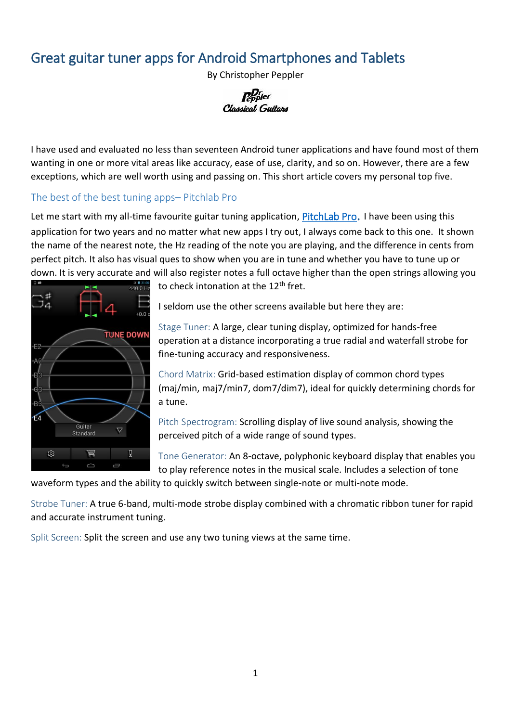## Great guitar tuner apps for Android Smartphones and Tablets

By Christopher Peppler



I have used and evaluated no less than seventeen Android tuner applications and have found most of them wanting in one or more vital areas like accuracy, ease of use, clarity, and so on. However, there are a few exceptions, which are well worth using and passing on. This short article covers my personal top five.

### The best of the best tuning apps– Pitchlab Pro

Let me start with my all-time favourite guitar tuning application, [PitchLab Pro](https://play.google.com/store/apps/details?id=com.musician.tuner&hl=en). I have been using this application for two years and no matter what new apps I try out, I always come back to this one. It shown the name of the nearest note, the Hz reading of the note you are playing, and the difference in cents from perfect pitch. It also has visual ques to show when you are in tune and whether you have to tune up or down. It is very accurate and will also register notes a full octave higher than the open strings allowing you



to check intonation at the  $12<sup>th</sup>$  fret.

I seldom use the other screens available but here they are:

Stage Tuner: A large, clear tuning display, optimized for hands-free operation at a distance incorporating a true radial and waterfall strobe for fine-tuning accuracy and responsiveness.

Chord Matrix: Grid-based estimation display of common chord types (maj/min, maj7/min7, dom7/dim7), ideal for quickly determining chords for a tune.

Pitch Spectrogram: Scrolling display of live sound analysis, showing the perceived pitch of a wide range of sound types.

Tone Generator: An 8-octave, polyphonic keyboard display that enables you to play reference notes in the musical scale. Includes a selection of tone

waveform types and the ability to quickly switch between single-note or multi-note mode.

Strobe Tuner: A true 6-band, multi-mode strobe display combined with a chromatic ribbon tuner for rapid and accurate instrument tuning.

Split Screen: Split the screen and use any two tuning views at the same time.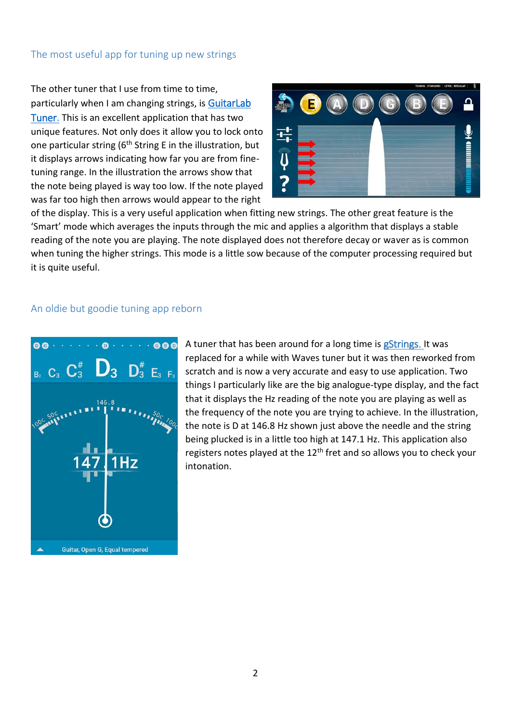#### The most useful app for tuning up new strings

The other tuner that I use from time to time, particularly when I am changing strings, is [GuitarLab](https://play.google.com/store/apps/details?id=net.theguitartunerapp&hl=en)  [Tuner](https://play.google.com/store/apps/details?id=net.theguitartunerapp&hl=en). This is an excellent application that has two unique features. Not only does it allow you to lock onto one particular string ( $6<sup>th</sup>$  String E in the illustration, but it displays arrows indicating how far you are from finetuning range. In the illustration the arrows show that the note being played is way too low. If the note played was far too high then arrows would appear to the right



of the display. This is a very useful application when fitting new strings. The other great feature is the 'Smart' mode which averages the inputs through the mic and applies a algorithm that displays a stable reading of the note you are playing. The note displayed does not therefore decay or waver as is common when tuning the higher strings. This mode is a little sow because of the computer processing required but it is quite useful.

#### An oldie but goodie tuning app reborn



A tuner that has been around for a long time is gStrings. It was replaced for a while with Waves tuner but it was then reworked from scratch and is now a very accurate and easy to use application. Two things I particularly like are the big analogue-type display, and the fact that it displays the Hz reading of the note you are playing as well as the frequency of the note you are trying to achieve. In the illustration, the note is D at 146.8 Hz shown just above the needle and the string being plucked is in a little too high at 147.1 Hz. This application also registers notes played at the  $12<sup>th</sup>$  fret and so allows you to check your intonation.